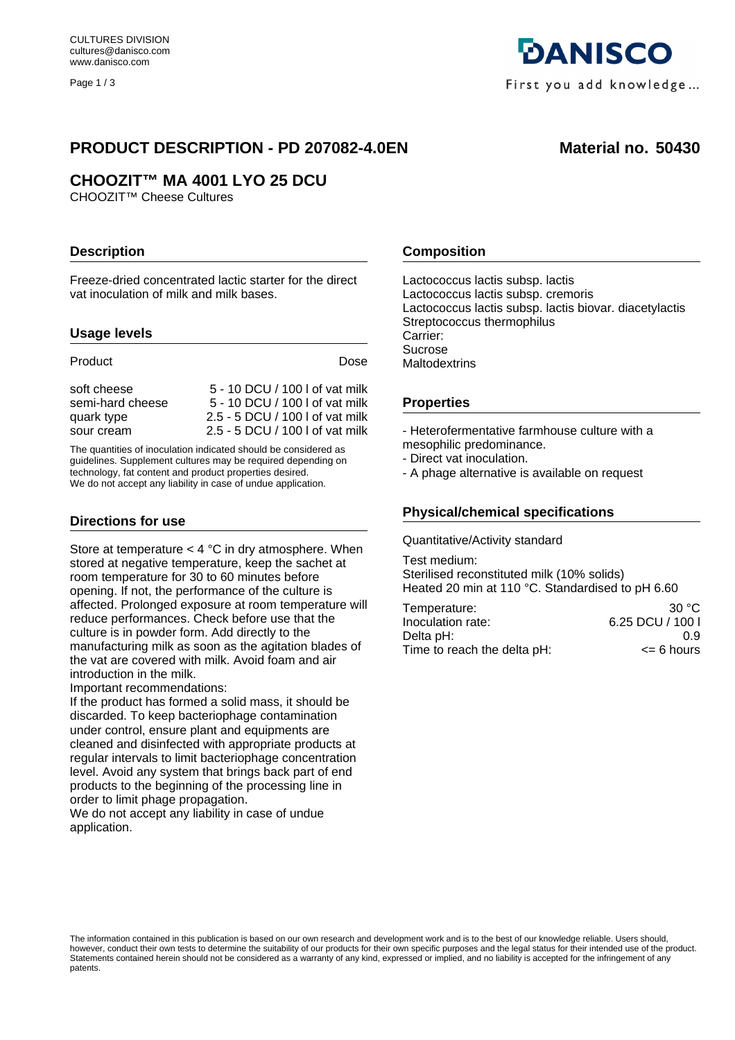Page 1 / 3

# PRODUCT DESCRIPTION - PD 207082-4.0EN Material no. 50430

# **CHOOZIT™ MA 4001 LYO 25 DCU**

CHOOZIT™ Cheese Cultures

## **Description**

Freeze-dried concentrated lactic starter for the direct vat inoculation of milk and milk bases.

#### **Usage levels**

| Product          | Dose                            |
|------------------|---------------------------------|
| soft cheese      | 5 - 10 DCU / 100 l of vat milk  |
| semi-hard cheese | 5 - 10 DCU / 100   of vat milk  |
| quark type       | 2.5 - 5 DCU / 100   of vat milk |
| sour cream       | 2.5 - 5 DCU / 100   of vat milk |

The quantities of inoculation indicated should be considered as guidelines. Supplement cultures may be required depending on technology, fat content and product properties desired. We do not accept any liability in case of undue application.

#### **Directions for use**

Store at temperature < 4 °C in dry atmosphere. When stored at negative temperature, keep the sachet at room temperature for 30 to 60 minutes before opening. If not, the performance of the culture is affected. Prolonged exposure at room temperature will reduce performances. Check before use that the culture is in powder form. Add directly to the manufacturing milk as soon as the agitation blades of the vat are covered with milk. Avoid foam and air introduction in the milk.

Important recommendations:

If the product has formed a solid mass, it should be discarded. To keep bacteriophage contamination under control, ensure plant and equipments are cleaned and disinfected with appropriate products at regular intervals to limit bacteriophage concentration level. Avoid any system that brings back part of end products to the beginning of the processing line in order to limit phage propagation.

We do not accept any liability in case of undue application.



## **Composition**

Lactococcus lactis subsp. lactis Lactococcus lactis subsp. cremoris Lactococcus lactis subsp. lactis biovar. diacetylactis Streptococcus thermophilus Carrier: Sucrose **Maltodextrins** 

#### **Properties**

- Heterofermentative farmhouse culture with a mesophilic predominance.

- Direct vat inoculation.
- A phage alternative is available on request

## **Physical/chemical specifications**

Quantitative/Activity standard

Test medium: Sterilised reconstituted milk (10% solids) Heated 20 min at 110 °C. Standardised to pH 6.60

| Temperature:                | 30 $\degree$ C   |
|-----------------------------|------------------|
| Inoculation rate:           | 6.25 DCU / 100 I |
| Delta pH:                   | 0.9              |
| Time to reach the delta pH: | $\leq$ 6 hours   |

The information contained in this publication is based on our own research and development work and is to the best of our knowledge reliable. Users should, however, conduct their own tests to determine the suitability of our products for their own specific purposes and the legal status for their intended use of the product. Statements contained herein should not be considered as a warranty of any kind, expressed or implied, and no liability is accepted for the infringement of any patents.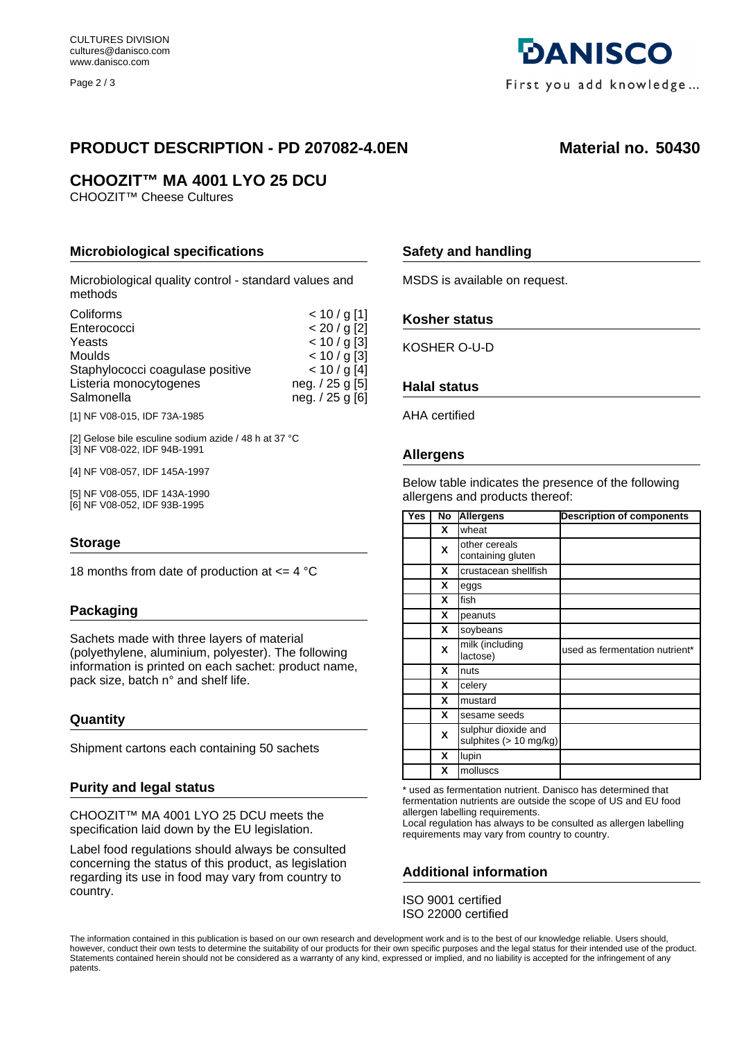Page 2 / 3

# PRODUCT DESCRIPTION - PD 207082-4.0EN Material no. 50430

**DANISCO** 

First you add knowledge...

# **CHOOZIT™ MA 4001 LYO 25 DCU**

CHOOZIT™ Cheese Cultures

## **Microbiological specifications**

Microbiological quality control - standard values and methods

| Coliforms                        | $< 10 / g$ [1]  |
|----------------------------------|-----------------|
| Enterococci                      | < 20 / g [2]    |
| Yeasts                           | $< 10 / g$ [3]  |
| Moulds                           | $< 10 / g$ [3]  |
| Staphylococci coagulase positive | < 10 / g [4]    |
| Listeria monocytogenes           | neg. / 25 g [5] |
| Salmonella                       | neg. / 25 g [6] |
|                                  |                 |

[1] NF V08-015, IDF 73A-1985

[2] Gelose bile esculine sodium azide / 48 h at 37 °C [3] NF V08-022, IDF 94B-1991

[4] NF V08-057, IDF 145A-1997

[5] NF V08-055, IDF 143A-1990 [6] NF V08-052, IDF 93B-1995

#### **Storage**

18 months from date of production at  $\leq$  4 °C

## **Packaging**

Sachets made with three layers of material (polyethylene, aluminium, polyester). The following information is printed on each sachet: product name, pack size, batch n° and shelf life.

#### **Quantity**

Shipment cartons each containing 50 sachets

#### **Purity and legal status**

CHOOZIT™ MA 4001 LYO 25 DCU meets the specification laid down by the EU legislation.

Label food regulations should always be consulted concerning the status of this product, as legislation regarding its use in food may vary from country to country.

## **Safety and handling**

MSDS is available on request.

#### **Kosher status**

KOSHER O-U-D

#### **Halal status**

AHA certified

#### **Allergens**

Below table indicates the presence of the following allergens and products thereof:

| <b>Yes</b> | No | <b>Allergens</b>                              | <b>Description of components</b> |
|------------|----|-----------------------------------------------|----------------------------------|
|            | x  | wheat                                         |                                  |
|            | X  | other cereals<br>containing gluten            |                                  |
|            | X  | crustacean shellfish                          |                                  |
|            | X  | eggs                                          |                                  |
|            | x  | fish                                          |                                  |
|            | X  | peanuts                                       |                                  |
|            | X  | soybeans                                      |                                  |
|            | X  | milk (including<br>lactose)                   | used as fermentation nutrient*   |
|            | X  | nuts                                          |                                  |
|            | X  | celery                                        |                                  |
|            | x  | mustard                                       |                                  |
|            | x  | sesame seeds                                  |                                  |
|            | X  | sulphur dioxide and<br>sulphites (> 10 mg/kg) |                                  |
|            | X  | lupin                                         |                                  |
|            | X  | molluscs                                      |                                  |

\* used as fermentation nutrient. Danisco has determined that fermentation nutrients are outside the scope of US and EU food allergen labelling requirements.

Local regulation has always to be consulted as allergen labelling requirements may vary from country to country.

## **Additional information**

ISO 9001 certified ISO 22000 certified

The information contained in this publication is based on our own research and development work and is to the best of our knowledge reliable. Users should, however, conduct their own tests to determine the suitability of our products for their own specific purposes and the legal status for their intended use of the product. Statements contained herein should not be considered as a warranty of any kind, expressed or implied, and no liability is accepted for the infringement of any patents.